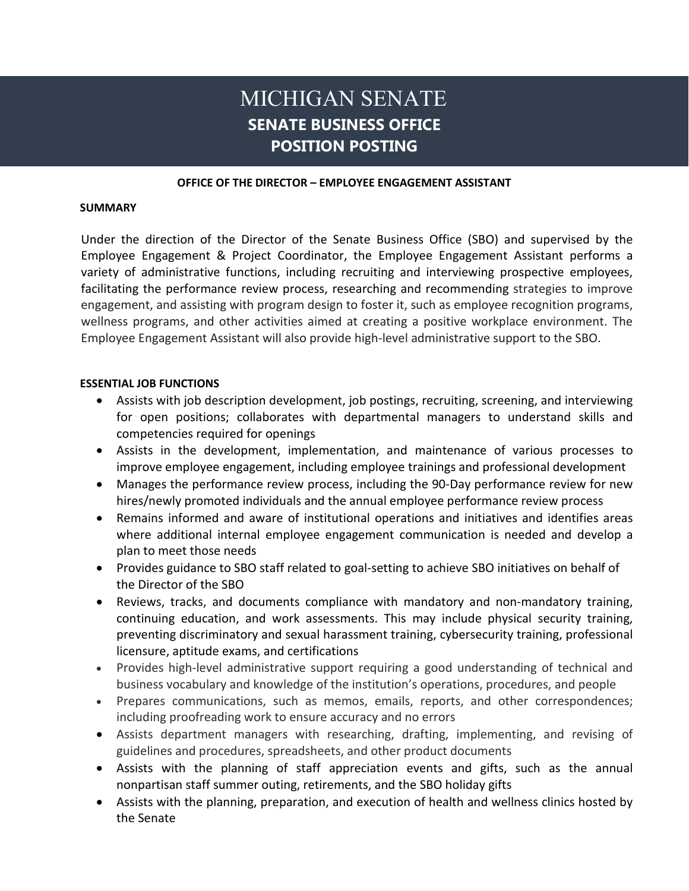# MICHIGAN SENATE **SENATE BUSINESS OFFICE POSITION POSTING**

#### **OFFICE OF THE DIRECTOR – EMPLOYEE ENGAGEMENT ASSISTANT**

#### **SUMMARY**

Under the direction of the Director of the Senate Business Office (SBO) and supervised by the Employee Engagement & Project Coordinator, the Employee Engagement Assistant performs a variety of administrative functions, including recruiting and interviewing prospective employees, facilitating the performance review process, researching and recommending strategies to improve engagement, and assisting with program design to foster it, such as employee recognition programs, wellness programs, and other activities aimed at creating a positive workplace environment. The Employee Engagement Assistant will also provide high-level administrative support to the SBO.

#### **ESSENTIAL JOB FUNCTIONS**

- Assists with job description development, job postings, recruiting, screening, and interviewing for open positions; collaborates with departmental managers to understand skills and competencies required for openings
- Assists in the development, implementation, and maintenance of various processes to improve employee engagement, including employee trainings and professional development
- Manages the performance review process, including the 90-Day performance review for new hires/newly promoted individuals and the annual employee performance review process
- Remains informed and aware of institutional operations and initiatives and identifies areas where additional internal employee engagement communication is needed and develop a plan to meet those needs
- Provides guidance to SBO staff related to goal-setting to achieve SBO initiatives on behalf of the Director of the SBO
- Reviews, tracks, and documents compliance with mandatory and non-mandatory training, continuing education, and work assessments. This may include physical security training, preventing discriminatory and sexual harassment training, cybersecurity training, professional licensure, aptitude exams, and certifications
- Provides high-level administrative support requiring a good understanding of technical and business vocabulary and knowledge of the institution's operations, procedures, and people
- Prepares communications, such as memos, emails, reports, and other correspondences; including proofreading work to ensure accuracy and no errors
- Assists department managers with researching, drafting, implementing, and revising of guidelines and procedures, spreadsheets, and other product documents
- Assists with the planning of staff appreciation events and gifts, such as the annual nonpartisan staff summer outing, retirements, and the SBO holiday gifts
- Assists with the planning, preparation, and execution of health and wellness clinics hosted by the Senate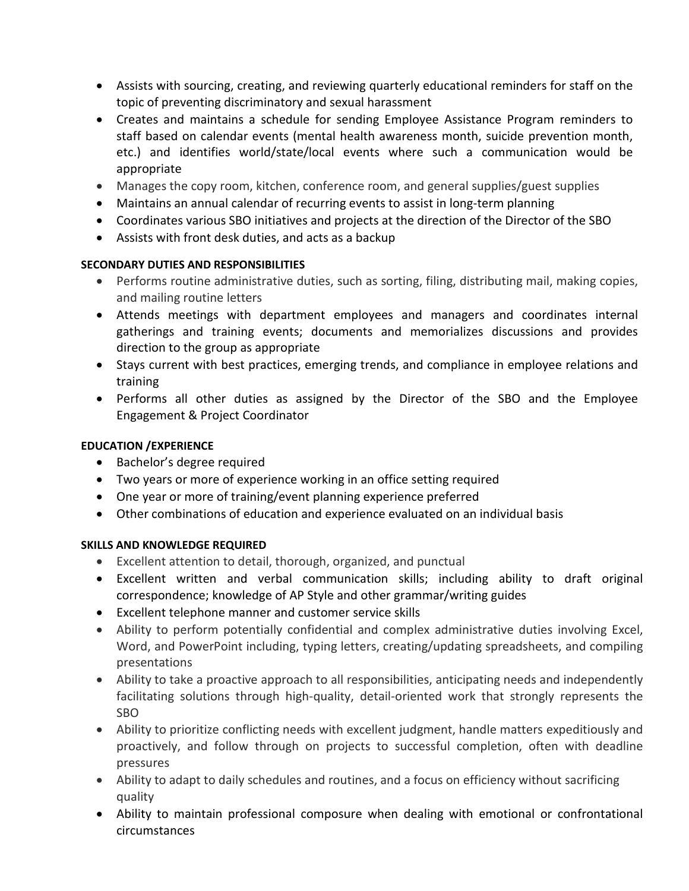- Assists with sourcing, creating, and reviewing quarterly educational reminders for staff on the topic of preventing discriminatory and sexual harassment
- Creates and maintains a schedule for sending Employee Assistance Program reminders to staff based on calendar events (mental health awareness month, suicide prevention month, etc.) and identifies world/state/local events where such a communication would be appropriate
- Manages the copy room, kitchen, conference room, and general supplies/guest supplies
- Maintains an annual calendar of recurring events to assist in long-term planning
- Coordinates various SBO initiatives and projects at the direction of the Director of the SBO
- Assists with front desk duties, and acts as a backup

# **SECONDARY DUTIES AND RESPONSIBILITIES**

- Performs routine administrative duties, such as sorting, filing, distributing mail, making copies, and mailing routine letters
- Attends meetings with department employees and managers and coordinates internal gatherings and training events; documents and memorializes discussions and provides direction to the group as appropriate
- Stays current with best practices, emerging trends, and compliance in employee relations and training
- Performs all other duties as assigned by the Director of the SBO and the Employee Engagement & Project Coordinator

### **EDUCATION /EXPERIENCE**

- Bachelor's degree required
- Two years or more of experience working in an office setting required
- One year or more of training/event planning experience preferred
- Other combinations of education and experience evaluated on an individual basis

#### **SKILLS AND KNOWLEDGE REQUIRED**

- Excellent attention to detail, thorough, organized, and punctual
- Excellent written and verbal communication skills; including ability to draft original correspondence; knowledge of AP Style and other grammar/writing guides
- Excellent telephone manner and customer service skills
- Ability to perform potentially confidential and complex administrative duties involving Excel, Word, and PowerPoint including, typing letters, creating/updating spreadsheets, and compiling presentations
- Ability to take a proactive approach to all responsibilities, anticipating needs and independently facilitating solutions through high-quality, detail-oriented work that strongly represents the SBO
- Ability to prioritize conflicting needs with excellent judgment, handle matters expeditiously and proactively, and follow through on projects to successful completion, often with deadline pressures
- Ability to adapt to daily schedules and routines, and a focus on efficiency without sacrificing quality
- Ability to maintain professional composure when dealing with emotional or confrontational circumstances